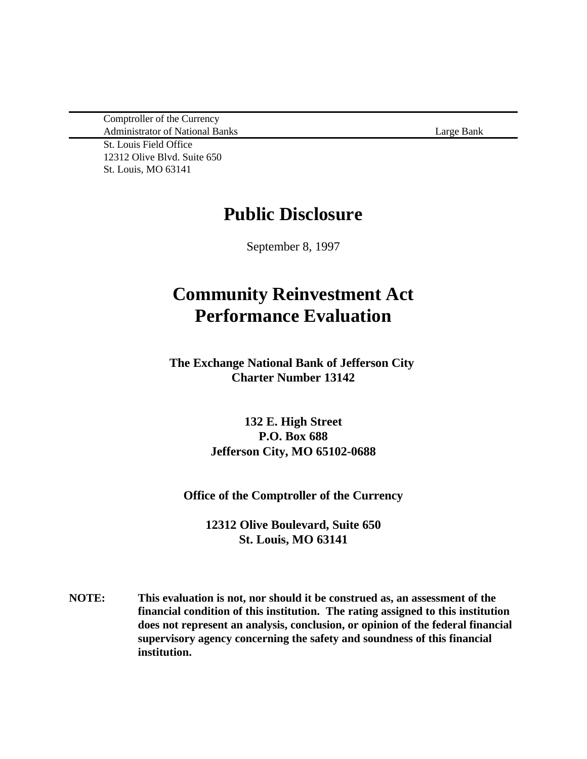Comptroller of the Currency Administrator of National Banks Large Bank

St. Louis Field Office 12312 Olive Blvd. Suite 650 St. Louis, MO 63141

## **Public Disclosure**

September 8, 1997

# **Community Reinvestment Act Performance Evaluation**

**The Exchange National Bank of Jefferson City Charter Number 13142**

> **132 E. High Street P.O. Box 688 Jefferson City, MO 65102-0688**

**Office of the Comptroller of the Currency**

**12312 Olive Boulevard, Suite 650 St. Louis, MO 63141**

**NOTE: This evaluation is not, nor should it be construed as, an assessment of the financial condition of this institution. The rating assigned to this institution does not represent an analysis, conclusion, or opinion of the federal financial supervisory agency concerning the safety and soundness of this financial institution.**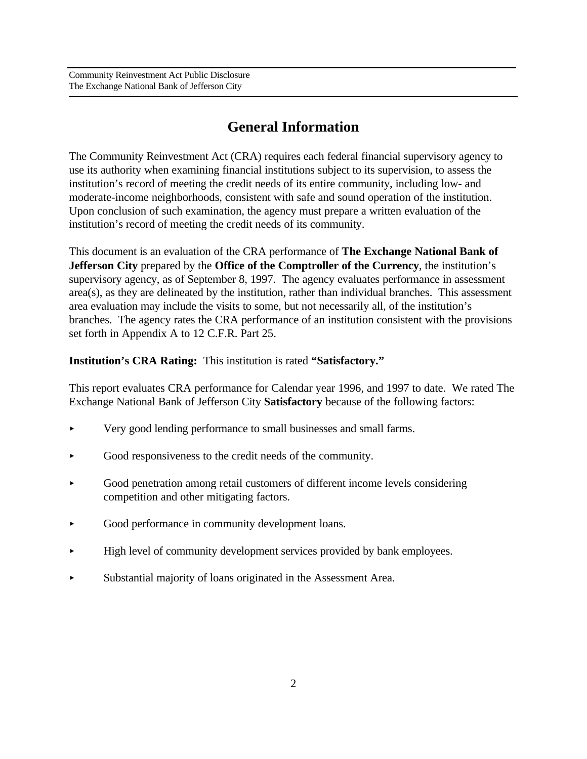## **General Information**

The Community Reinvestment Act (CRA) requires each federal financial supervisory agency to use its authority when examining financial institutions subject to its supervision, to assess the institution's record of meeting the credit needs of its entire community, including low- and moderate-income neighborhoods, consistent with safe and sound operation of the institution. Upon conclusion of such examination, the agency must prepare a written evaluation of the institution's record of meeting the credit needs of its community.

This document is an evaluation of the CRA performance of **The Exchange National Bank of Jefferson City** prepared by the **Office of the Comptroller of the Currency**, the institution's supervisory agency, as of September 8, 1997. The agency evaluates performance in assessment area(s), as they are delineated by the institution, rather than individual branches. This assessment area evaluation may include the visits to some, but not necessarily all, of the institution's branches. The agency rates the CRA performance of an institution consistent with the provisions set forth in Appendix A to 12 C.F.R. Part 25.

**Institution's CRA Rating:** This institution is rated **"Satisfactory."** 

This report evaluates CRA performance for Calendar year 1996, and 1997 to date. We rated The Exchange National Bank of Jefferson City **Satisfactory** because of the following factors:

- < Very good lending performance to small businesses and small farms.
- < Good responsiveness to the credit needs of the community.
- < Good penetration among retail customers of different income levels considering competition and other mitigating factors.
- < Good performance in community development loans.
- < High level of community development services provided by bank employees.
- < Substantial majority of loans originated in the Assessment Area.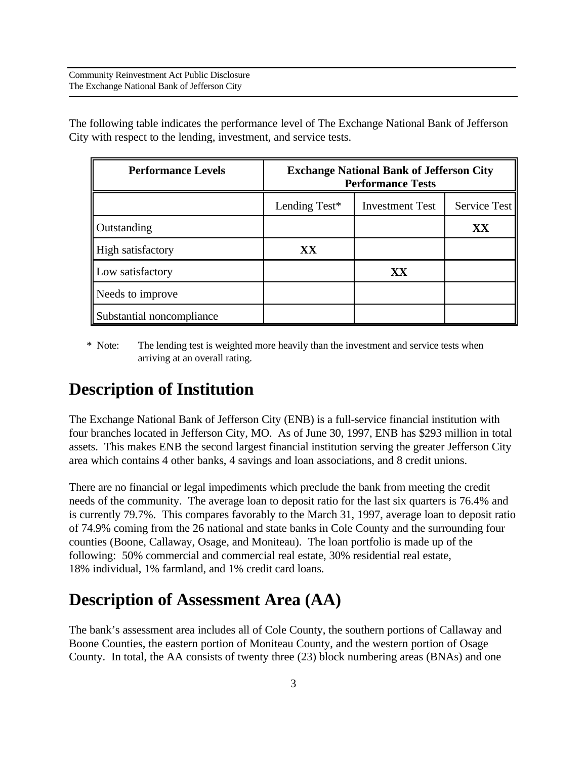The following table indicates the performance level of The Exchange National Bank of Jefferson City with respect to the lending, investment, and service tests.

| <b>Performance Levels</b> | <b>Exchange National Bank of Jefferson City</b><br><b>Performance Tests</b> |                        |              |  |  |  |
|---------------------------|-----------------------------------------------------------------------------|------------------------|--------------|--|--|--|
|                           | Lending Test*                                                               | <b>Investment Test</b> | Service Test |  |  |  |
| Outstanding               |                                                                             |                        | XX           |  |  |  |
| High satisfactory         | XX                                                                          |                        |              |  |  |  |
| Low satisfactory          |                                                                             | XX                     |              |  |  |  |
| Needs to improve          |                                                                             |                        |              |  |  |  |
| Substantial noncompliance |                                                                             |                        |              |  |  |  |

 \* Note: The lending test is weighted more heavily than the investment and service tests when arriving at an overall rating.

## **Description of Institution**

The Exchange National Bank of Jefferson City (ENB) is a full-service financial institution with four branches located in Jefferson City, MO. As of June 30, 1997, ENB has \$293 million in total assets. This makes ENB the second largest financial institution serving the greater Jefferson City area which contains 4 other banks, 4 savings and loan associations, and 8 credit unions.

There are no financial or legal impediments which preclude the bank from meeting the credit needs of the community. The average loan to deposit ratio for the last six quarters is 76.4% and is currently 79.7%. This compares favorably to the March 31, 1997, average loan to deposit ratio of 74.9% coming from the 26 national and state banks in Cole County and the surrounding four counties (Boone, Callaway, Osage, and Moniteau). The loan portfolio is made up of the following: 50% commercial and commercial real estate, 30% residential real estate, 18% individual, 1% farmland, and 1% credit card loans.

## **Description of Assessment Area (AA)**

The bank's assessment area includes all of Cole County, the southern portions of Callaway and Boone Counties, the eastern portion of Moniteau County, and the western portion of Osage County. In total, the AA consists of twenty three (23) block numbering areas (BNAs) and one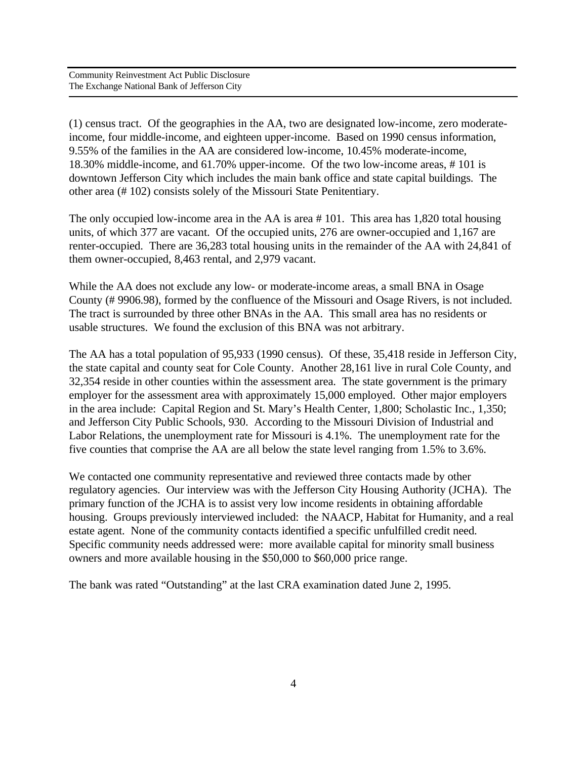(1) census tract. Of the geographies in the AA, two are designated low-income, zero moderateincome, four middle-income, and eighteen upper-income. Based on 1990 census information, 9.55% of the families in the AA are considered low-income, 10.45% moderate-income, 18.30% middle-income, and 61.70% upper-income. Of the two low-income areas, # 101 is downtown Jefferson City which includes the main bank office and state capital buildings. The other area (# 102) consists solely of the Missouri State Penitentiary.

The only occupied low-income area in the AA is area # 101. This area has 1,820 total housing units, of which 377 are vacant. Of the occupied units, 276 are owner-occupied and 1,167 are renter-occupied. There are 36,283 total housing units in the remainder of the AA with 24,841 of them owner-occupied, 8,463 rental, and 2,979 vacant.

While the AA does not exclude any low- or moderate-income areas, a small BNA in Osage County (# 9906.98), formed by the confluence of the Missouri and Osage Rivers, is not included. The tract is surrounded by three other BNAs in the AA. This small area has no residents or usable structures. We found the exclusion of this BNA was not arbitrary.

The AA has a total population of 95,933 (1990 census). Of these, 35,418 reside in Jefferson City, the state capital and county seat for Cole County. Another 28,161 live in rural Cole County, and 32,354 reside in other counties within the assessment area. The state government is the primary employer for the assessment area with approximately 15,000 employed. Other major employers in the area include: Capital Region and St. Mary's Health Center, 1,800; Scholastic Inc., 1,350; and Jefferson City Public Schools, 930. According to the Missouri Division of Industrial and Labor Relations, the unemployment rate for Missouri is 4.1%. The unemployment rate for the five counties that comprise the AA are all below the state level ranging from 1.5% to 3.6%.

We contacted one community representative and reviewed three contacts made by other regulatory agencies. Our interview was with the Jefferson City Housing Authority (JCHA). The primary function of the JCHA is to assist very low income residents in obtaining affordable housing. Groups previously interviewed included: the NAACP, Habitat for Humanity, and a real estate agent. None of the community contacts identified a specific unfulfilled credit need. Specific community needs addressed were: more available capital for minority small business owners and more available housing in the \$50,000 to \$60,000 price range.

The bank was rated "Outstanding" at the last CRA examination dated June 2, 1995.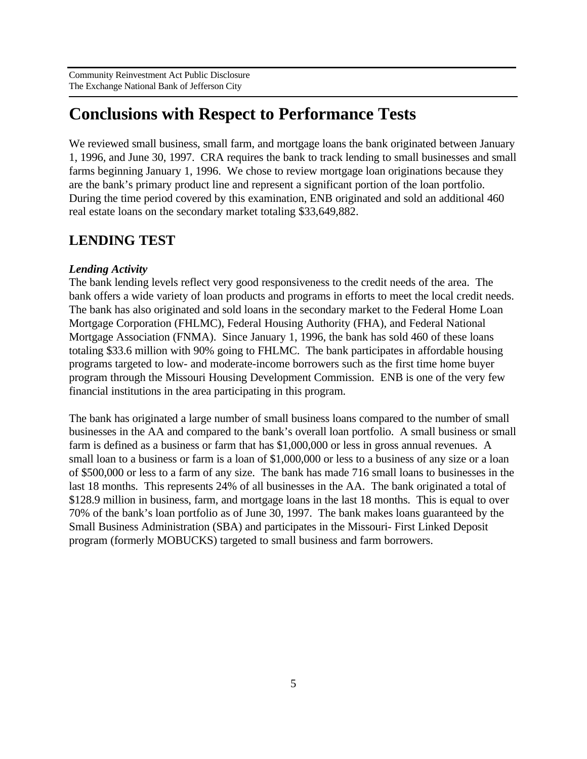# **Conclusions with Respect to Performance Tests**

We reviewed small business, small farm, and mortgage loans the bank originated between January 1, 1996, and June 30, 1997. CRA requires the bank to track lending to small businesses and small farms beginning January 1, 1996. We chose to review mortgage loan originations because they are the bank's primary product line and represent a significant portion of the loan portfolio. During the time period covered by this examination, ENB originated and sold an additional 460 real estate loans on the secondary market totaling \$33,649,882.

### **LENDING TEST**

#### *Lending Activity*

The bank lending levels reflect very good responsiveness to the credit needs of the area. The bank offers a wide variety of loan products and programs in efforts to meet the local credit needs. The bank has also originated and sold loans in the secondary market to the Federal Home Loan Mortgage Corporation (FHLMC), Federal Housing Authority (FHA), and Federal National Mortgage Association (FNMA). Since January 1, 1996, the bank has sold 460 of these loans totaling \$33.6 million with 90% going to FHLMC. The bank participates in affordable housing programs targeted to low- and moderate-income borrowers such as the first time home buyer program through the Missouri Housing Development Commission. ENB is one of the very few financial institutions in the area participating in this program.

The bank has originated a large number of small business loans compared to the number of small businesses in the AA and compared to the bank's overall loan portfolio. A small business or small farm is defined as a business or farm that has \$1,000,000 or less in gross annual revenues. A small loan to a business or farm is a loan of \$1,000,000 or less to a business of any size or a loan of \$500,000 or less to a farm of any size. The bank has made 716 small loans to businesses in the last 18 months. This represents 24% of all businesses in the AA. The bank originated a total of \$128.9 million in business, farm, and mortgage loans in the last 18 months. This is equal to over 70% of the bank's loan portfolio as of June 30, 1997. The bank makes loans guaranteed by the Small Business Administration (SBA) and participates in the Missouri- First Linked Deposit program (formerly MOBUCKS) targeted to small business and farm borrowers.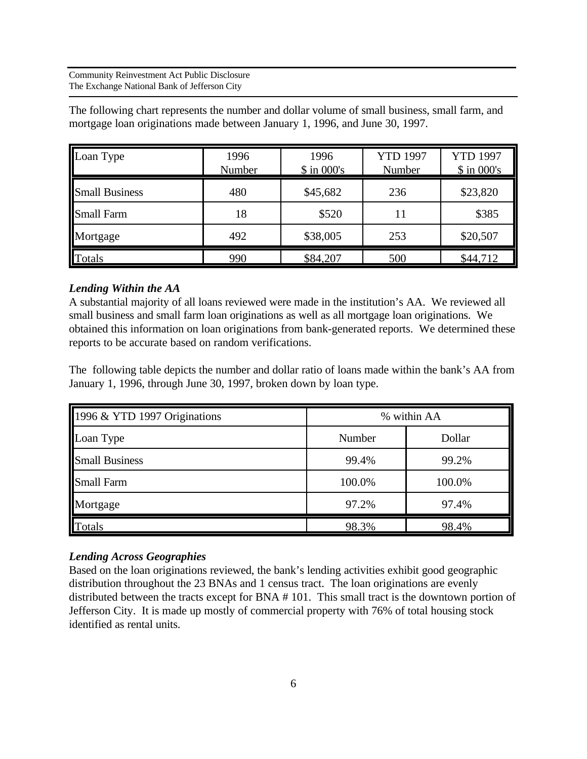The following chart represents the number and dollar volume of small business, small farm, and mortgage loan originations made between January 1, 1996, and June 30, 1997.

| Loan Type             | 1996<br>Number | 1996<br><b>YTD 1997</b><br>$$$ in 000's<br>Number |     | <b>YTD 1997</b><br>$$$ in 000's |  |
|-----------------------|----------------|---------------------------------------------------|-----|---------------------------------|--|
| <b>Small Business</b> | 480            | \$45,682                                          | 236 | \$23,820                        |  |
| <b>Small Farm</b>     | 18             | \$520                                             | 11  | \$385                           |  |
| Mortgage              | 492            | \$38,005                                          | 253 | \$20,507                        |  |
| Totals                | 990            | \$84,207                                          | 500 | \$44,712                        |  |

#### *Lending Within the AA*

A substantial majority of all loans reviewed were made in the institution's AA. We reviewed all small business and small farm loan originations as well as all mortgage loan originations. We obtained this information on loan originations from bank-generated reports. We determined these reports to be accurate based on random verifications.

The following table depicts the number and dollar ratio of loans made within the bank's AA from January 1, 1996, through June 30, 1997, broken down by loan type.

| 1996 & YTD 1997 Originations | % within AA |        |  |
|------------------------------|-------------|--------|--|
| Loan Type                    | Number      | Dollar |  |
| <b>Small Business</b>        | 99.4%       | 99.2%  |  |
| <b>Small Farm</b>            | 100.0%      | 100.0% |  |
| Mortgage                     | 97.2%       | 97.4%  |  |
| Totals                       | 98.3%       | 98.4%  |  |

#### *Lending Across Geographies*

Based on the loan originations reviewed, the bank's lending activities exhibit good geographic distribution throughout the 23 BNAs and 1 census tract. The loan originations are evenly distributed between the tracts except for BNA # 101. This small tract is the downtown portion of Jefferson City. It is made up mostly of commercial property with 76% of total housing stock identified as rental units.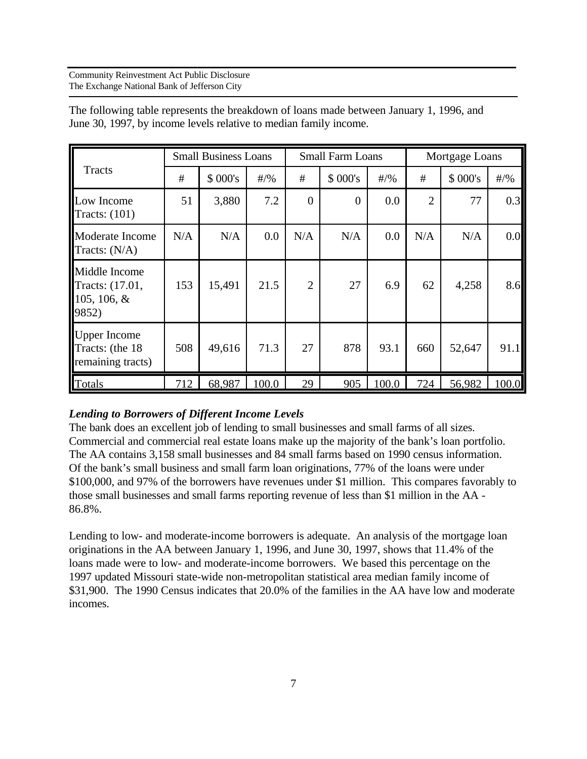| Tracts                                                      | <b>Small Business Loans</b> |          | <b>Small Farm Loans</b> |                |                | Mortgage Loans |                |         |          |
|-------------------------------------------------------------|-----------------------------|----------|-------------------------|----------------|----------------|----------------|----------------|---------|----------|
|                                                             | #                           | \$ 000's | #/9                     | #              | \$ 000's       | $\#/9$ %       | #              | \$000's | $\#/9/6$ |
| Low Income<br>Tracts: $(101)$                               | 51                          | 3,880    | 7.2                     | $\theta$       | $\overline{0}$ | 0.0            | $\overline{2}$ | 77      | 0.3      |
| Moderate Income<br>Tracts: $(N/A)$                          | N/A                         | N/A      | 0.0                     | N/A            | N/A            | 0.0            | N/A            | N/A     | 0.0      |
| Middle Income<br>Tracts: (17.01,<br>105, 106, $&$<br>9852)  | 153                         | 15,491   | 21.5                    | $\overline{2}$ | 27             | 6.9            | 62             | 4,258   | 8.6      |
| <b>Upper Income</b><br>Tracts: (the 18<br>remaining tracts) | 508                         | 49,616   | 71.3                    | 27             | 878            | 93.1           | 660            | 52,647  | 91.1     |
| Totals                                                      | 712                         | 68,987   | 100.0                   | 29             | 905            | 100.0          | 724            | 56,982  | 100.0    |

The following table represents the breakdown of loans made between January 1, 1996, and June 30, 1997, by income levels relative to median family income.

#### *Lending to Borrowers of Different Income Levels*

The bank does an excellent job of lending to small businesses and small farms of all sizes. Commercial and commercial real estate loans make up the majority of the bank's loan portfolio. The AA contains 3,158 small businesses and 84 small farms based on 1990 census information. Of the bank's small business and small farm loan originations, 77% of the loans were under \$100,000, and 97% of the borrowers have revenues under \$1 million. This compares favorably to those small businesses and small farms reporting revenue of less than \$1 million in the AA - 86.8%.

Lending to low- and moderate-income borrowers is adequate. An analysis of the mortgage loan originations in the AA between January 1, 1996, and June 30, 1997, shows that 11.4% of the loans made were to low- and moderate-income borrowers. We based this percentage on the 1997 updated Missouri state-wide non-metropolitan statistical area median family income of \$31,900. The 1990 Census indicates that 20.0% of the families in the AA have low and moderate incomes.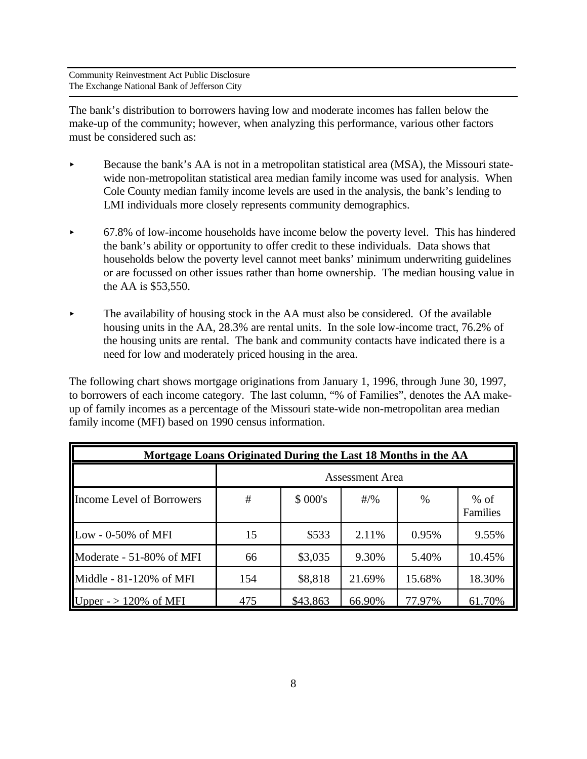The bank's distribution to borrowers having low and moderate incomes has fallen below the make-up of the community; however, when analyzing this performance, various other factors must be considered such as:

- Because the bank's AA is not in a metropolitan statistical area (MSA), the Missouri statewide non-metropolitan statistical area median family income was used for analysis. When Cole County median family income levels are used in the analysis, the bank's lending to LMI individuals more closely represents community demographics.
- $\triangleright$  67.8% of low-income households have income below the poverty level. This has hindered the bank's ability or opportunity to offer credit to these individuals. Data shows that households below the poverty level cannot meet banks' minimum underwriting guidelines or are focussed on other issues rather than home ownership. The median housing value in the AA is \$53,550.
- $\blacktriangleright$  The availability of housing stock in the AA must also be considered. Of the available housing units in the AA, 28.3% are rental units. In the sole low-income tract, 76.2% of the housing units are rental. The bank and community contacts have indicated there is a need for low and moderately priced housing in the area.

The following chart shows mortgage originations from January 1, 1996, through June 30, 1997, to borrowers of each income category. The last column, "% of Families", denotes the AA makeup of family incomes as a percentage of the Missouri state-wide non-metropolitan area median family income (MFI) based on 1990 census information.

| Mortgage Loans Originated During the Last 18 Months in the AA |                        |          |        |        |                    |  |  |
|---------------------------------------------------------------|------------------------|----------|--------|--------|--------------------|--|--|
|                                                               | <b>Assessment Area</b> |          |        |        |                    |  |  |
| Income Level of Borrowers                                     | #                      | \$000's  | $#/$ % | $\%$   | $%$ of<br>Families |  |  |
| Low - $0-50\%$ of MFI                                         | 15                     | \$533    | 2.11%  | 0.95%  | 9.55%              |  |  |
| Moderate - 51-80% of MFI                                      | 66                     | \$3,035  | 9.30%  | 5.40%  | 10.45%             |  |  |
| Middle - 81-120% of MFI                                       | 154                    | \$8,818  | 21.69% | 15.68% | 18.30%             |  |  |
| Upper - $> 120\%$ of MFI                                      | 475                    | \$43,863 | 66.90% | 77.97% | 61.70%             |  |  |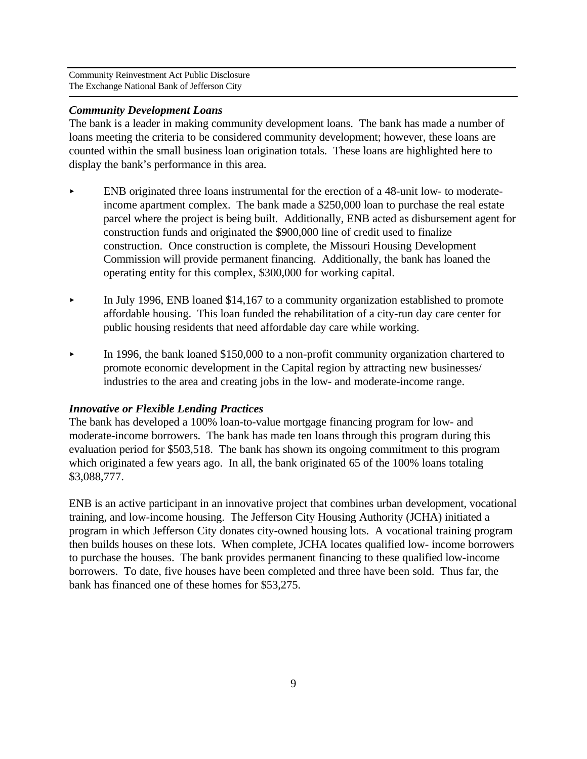#### *Community Development Loans*

The bank is a leader in making community development loans. The bank has made a number of loans meeting the criteria to be considered community development; however, these loans are counted within the small business loan origination totals. These loans are highlighted here to display the bank's performance in this area.

- ENB originated three loans instrumental for the erection of a 48-unit low- to moderateincome apartment complex. The bank made a \$250,000 loan to purchase the real estate parcel where the project is being built. Additionally, ENB acted as disbursement agent for construction funds and originated the \$900,000 line of credit used to finalize construction. Once construction is complete, the Missouri Housing Development Commission will provide permanent financing. Additionally, the bank has loaned the operating entity for this complex, \$300,000 for working capital.
- $\blacktriangleright$  In July 1996, ENB loaned \$14,167 to a community organization established to promote affordable housing. This loan funded the rehabilitation of a city-run day care center for public housing residents that need affordable day care while working.
- In 1996, the bank loaned \$150,000 to a non-profit community organization chartered to promote economic development in the Capital region by attracting new businesses/ industries to the area and creating jobs in the low- and moderate-income range.

#### *Innovative or Flexible Lending Practices*

The bank has developed a 100% loan-to-value mortgage financing program for low- and moderate-income borrowers. The bank has made ten loans through this program during this evaluation period for \$503,518. The bank has shown its ongoing commitment to this program which originated a few years ago. In all, the bank originated 65 of the 100% loans totaling \$3,088,777.

ENB is an active participant in an innovative project that combines urban development, vocational training, and low-income housing. The Jefferson City Housing Authority (JCHA) initiated a program in which Jefferson City donates city-owned housing lots. A vocational training program then builds houses on these lots. When complete, JCHA locates qualified low- income borrowers to purchase the houses. The bank provides permanent financing to these qualified low-income borrowers. To date, five houses have been completed and three have been sold. Thus far, the bank has financed one of these homes for \$53,275.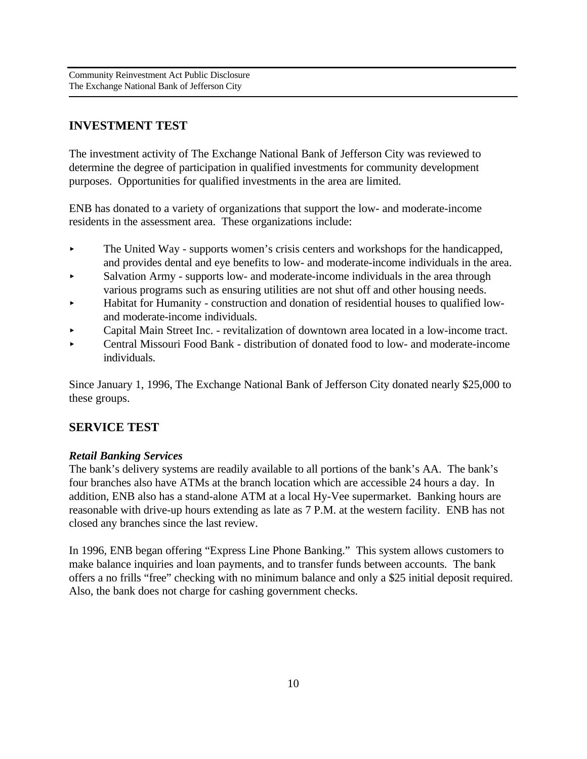### **INVESTMENT TEST**

The investment activity of The Exchange National Bank of Jefferson City was reviewed to determine the degree of participation in qualified investments for community development purposes. Opportunities for qualified investments in the area are limited.

ENB has donated to a variety of organizations that support the low- and moderate-income residents in the assessment area. These organizations include:

- $\blacktriangleright$  The United Way supports women's crisis centers and workshops for the handicapped, and provides dental and eye benefits to low- and moderate-income individuals in the area.
- Salvation Army supports low- and moderate-income individuals in the area through various programs such as ensuring utilities are not shut off and other housing needs.
- < Habitat for Humanity construction and donation of residential houses to qualified lowand moderate-income individuals.
- < Capital Main Street Inc. revitalization of downtown area located in a low-income tract.
- < Central Missouri Food Bank distribution of donated food to low- and moderate-income individuals.

Since January 1, 1996, The Exchange National Bank of Jefferson City donated nearly \$25,000 to these groups.

### **SERVICE TEST**

### *Retail Banking Services*

The bank's delivery systems are readily available to all portions of the bank's AA. The bank's four branches also have ATMs at the branch location which are accessible 24 hours a day. In addition, ENB also has a stand-alone ATM at a local Hy-Vee supermarket. Banking hours are reasonable with drive-up hours extending as late as 7 P.M. at the western facility. ENB has not closed any branches since the last review.

In 1996, ENB began offering "Express Line Phone Banking." This system allows customers to make balance inquiries and loan payments, and to transfer funds between accounts. The bank offers a no frills "free" checking with no minimum balance and only a \$25 initial deposit required. Also, the bank does not charge for cashing government checks.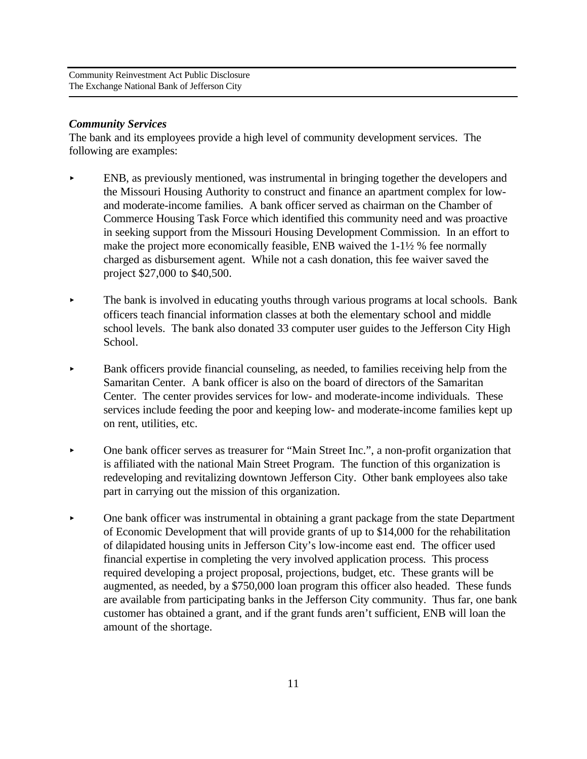#### *Community Services*

The bank and its employees provide a high level of community development services. The following are examples:

- ENB, as previously mentioned, was instrumental in bringing together the developers and the Missouri Housing Authority to construct and finance an apartment complex for lowand moderate-income families. A bank officer served as chairman on the Chamber of Commerce Housing Task Force which identified this community need and was proactive in seeking support from the Missouri Housing Development Commission. In an effort to make the project more economically feasible, ENB waived the  $1-1\frac{1}{2}$  % fee normally charged as disbursement agent. While not a cash donation, this fee waiver saved the project \$27,000 to \$40,500.
- The bank is involved in educating youths through various programs at local schools. Bank officers teach financial information classes at both the elementary school and middle school levels. The bank also donated 33 computer user guides to the Jefferson City High School.
- < Bank officers provide financial counseling, as needed, to families receiving help from the Samaritan Center. A bank officer is also on the board of directors of the Samaritan Center. The center provides services for low- and moderate-income individuals. These services include feeding the poor and keeping low- and moderate-income families kept up on rent, utilities, etc.
- One bank officer serves as treasurer for "Main Street Inc.", a non-profit organization that is affiliated with the national Main Street Program. The function of this organization is redeveloping and revitalizing downtown Jefferson City. Other bank employees also take part in carrying out the mission of this organization.
- $\triangleright$  One bank officer was instrumental in obtaining a grant package from the state Department of Economic Development that will provide grants of up to \$14,000 for the rehabilitation of dilapidated housing units in Jefferson City's low-income east end. The officer used financial expertise in completing the very involved application process. This process required developing a project proposal, projections, budget, etc. These grants will be augmented, as needed, by a \$750,000 loan program this officer also headed. These funds are available from participating banks in the Jefferson City community. Thus far, one bank customer has obtained a grant, and if the grant funds aren't sufficient, ENB will loan the amount of the shortage.